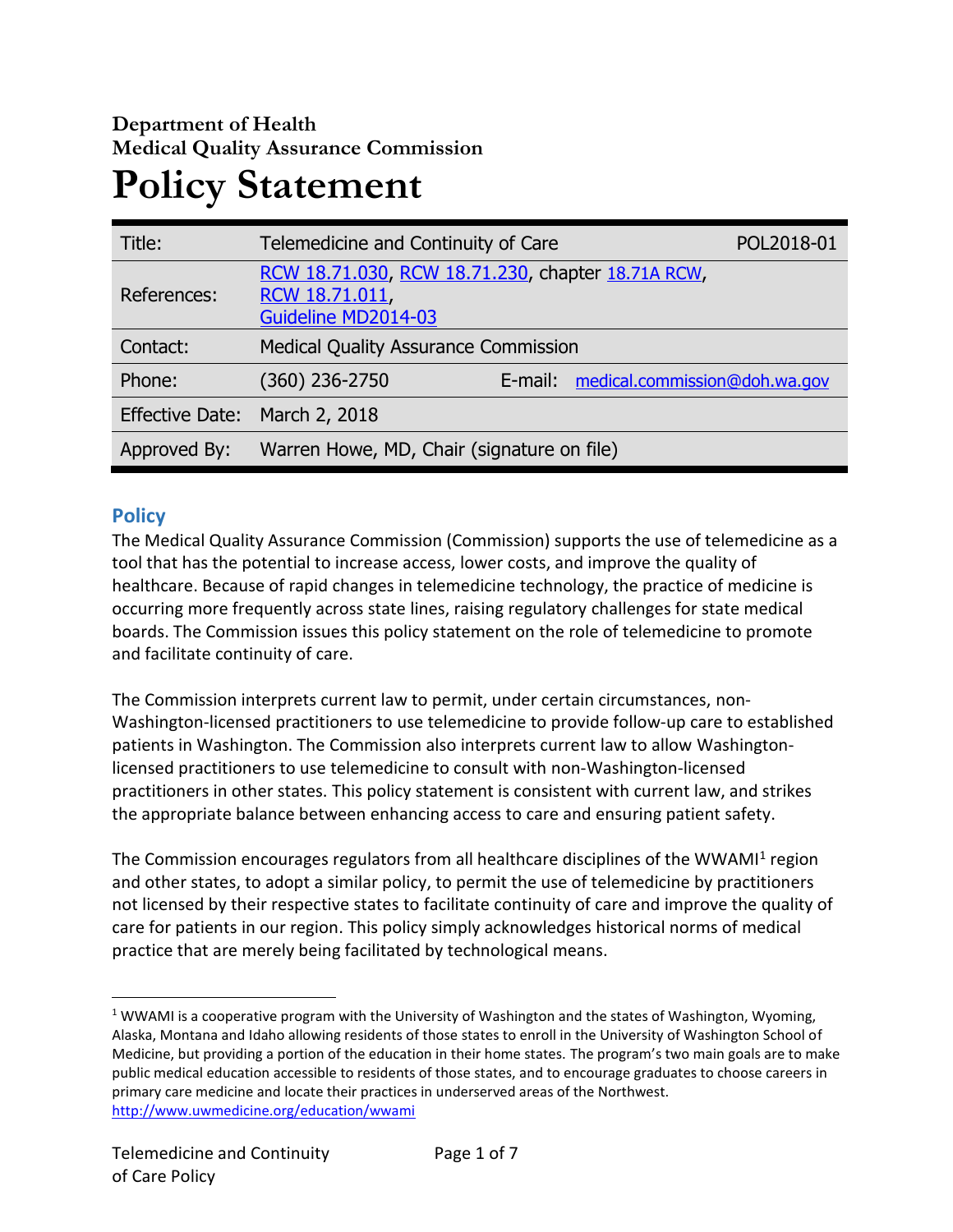# **Department of Health Medical Quality Assurance Commission Policy Statement**

| Title:                 | Telemedicine and Continuity of Care                                                        |  |                                       | POL2018-01 |
|------------------------|--------------------------------------------------------------------------------------------|--|---------------------------------------|------------|
| References:            | RCW 18.71.030, RCW 18.71.230, chapter 18.71A RCW,<br>RCW 18.71.011,<br>Guideline MD2014-03 |  |                                       |            |
| Contact:               | <b>Medical Quality Assurance Commission</b>                                                |  |                                       |            |
| Phone:                 | (360) 236-2750                                                                             |  | E-mail: medical.commission@doh.wa.gov |            |
| <b>Effective Date:</b> | March 2, 2018                                                                              |  |                                       |            |
| Approved By:           | Warren Howe, MD, Chair (signature on file)                                                 |  |                                       |            |

# **Policy**

 $\overline{a}$ 

The Medical Quality Assurance Commission (Commission) supports the use of telemedicine as a tool that has the potential to increase access, lower costs, and improve the quality of healthcare. Because of rapid changes in telemedicine technology, the practice of medicine is occurring more frequently across state lines, raising regulatory challenges for state medical boards. The Commission issues this policy statement on the role of telemedicine to promote and facilitate continuity of care.

The Commission interprets current law to permit, under certain circumstances, non-Washington-licensed practitioners to use telemedicine to provide follow-up care to established patients in Washington. The Commission also interprets current law to allow Washingtonlicensed practitioners to use telemedicine to consult with non-Washington-licensed practitioners in other states. This policy statement is consistent with current law, and strikes the appropriate balance between enhancing access to care and ensuring patient safety.

The Commission encourages regulators from all healthcare disciplines of the WWAMI<sup>1</sup> region and other states, to adopt a similar policy, to permit the use of telemedicine by practitioners not licensed by their respective states to facilitate continuity of care and improve the quality of care for patients in our region. This policy simply acknowledges historical norms of medical practice that are merely being facilitated by technological means.

<sup>&</sup>lt;sup>1</sup> WWAMI is a cooperative program with the University of Washington and the states of Washington, Wyoming, Alaska, Montana and Idaho allowing residents of those states to enroll in the University of Washington School of Medicine, but providing a portion of the education in their home states. The program's two main goals are to make public medical education accessible to residents of those states, and to encourage graduates to choose careers in primary care medicine and locate their practices in underserved areas of the Northwest. <http://www.uwmedicine.org/education/wwami>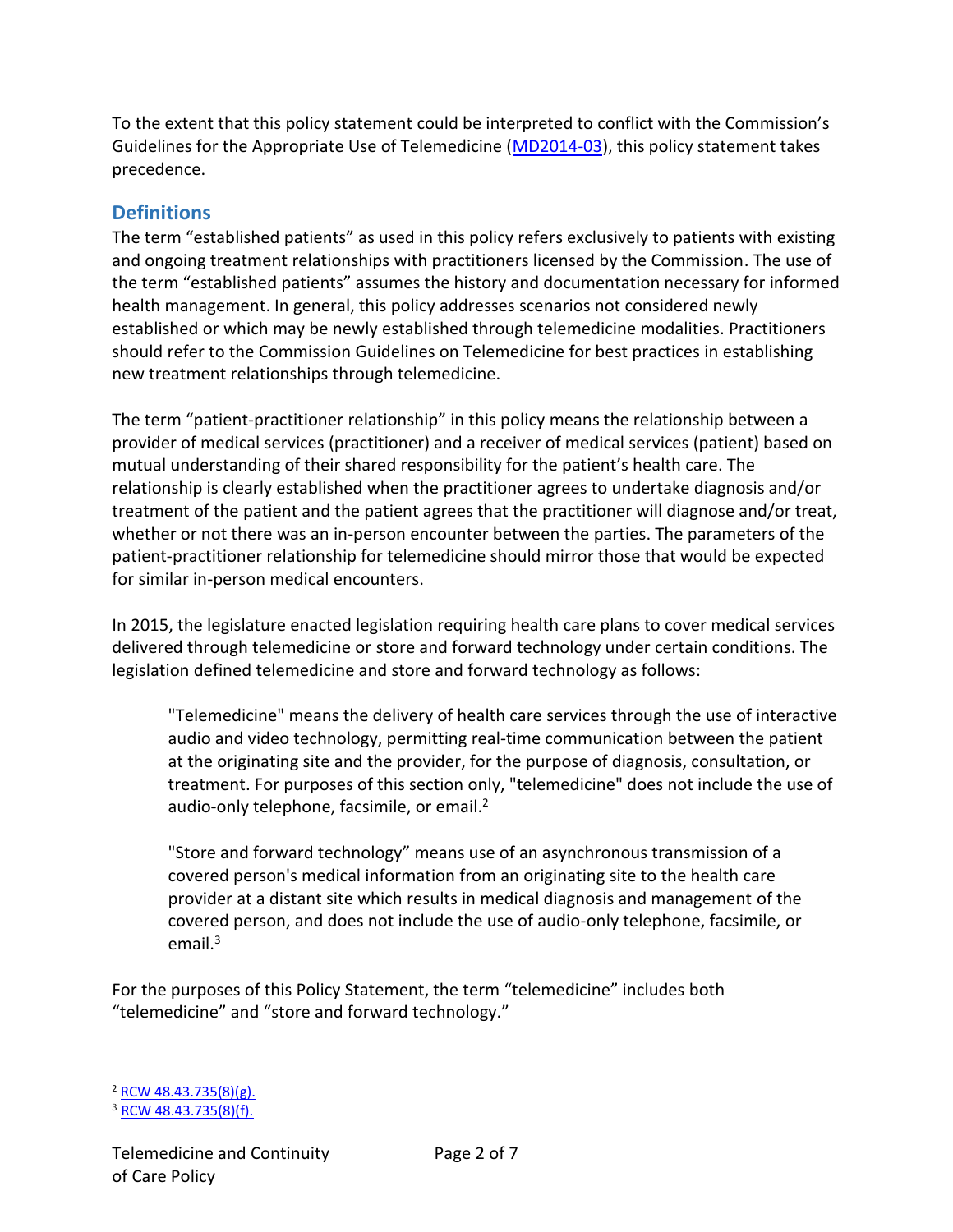To the extent that this policy statement could be interpreted to conflict with the Commission's Guidelines for the Appropriate Use of Telemedicine [\(MD2014-03\)](https://www.doh.wa.gov/Portals/1/Documents/3000/MD2014-03TelemedicineGuideline_approved10-3-14.pdf), this policy statement takes precedence.

# **Definitions**

The term "established patients" as used in this policy refers exclusively to patients with existing and ongoing treatment relationships with practitioners licensed by the Commission. The use of the term "established patients" assumes the history and documentation necessary for informed health management. In general, this policy addresses scenarios not considered newly established or which may be newly established through telemedicine modalities. Practitioners should refer to the Commission Guidelines on Telemedicine for best practices in establishing new treatment relationships through telemedicine.

The term "patient-practitioner relationship" in this policy means the relationship between a provider of medical services (practitioner) and a receiver of medical services (patient) based on mutual understanding of their shared responsibility for the patient's health care. The relationship is clearly established when the practitioner agrees to undertake diagnosis and/or treatment of the patient and the patient agrees that the practitioner will diagnose and/or treat, whether or not there was an in-person encounter between the parties. The parameters of the patient-practitioner relationship for telemedicine should mirror those that would be expected for similar in-person medical encounters.

In 2015, the legislature enacted legislation requiring health care plans to cover medical services delivered through telemedicine or store and forward technology under certain conditions. The legislation defined telemedicine and store and forward technology as follows:

"Telemedicine" means the delivery of health care services through the use of interactive audio and video technology, permitting real-time communication between the patient at the originating site and the provider, for the purpose of diagnosis, consultation, or treatment. For purposes of this section only, "telemedicine" does not include the use of audio-only telephone, facsimile, or email.<sup>2</sup>

"Store and forward technology" means use of an asynchronous transmission of a covered person's medical information from an originating site to the health care provider at a distant site which results in medical diagnosis and management of the covered person, and does not include the use of audio-only telephone, facsimile, or email. $3$ 

For the purposes of this Policy Statement, the term "telemedicine" includes both "telemedicine" and "store and forward technology."

 $\overline{a}$ 

 $^{2}$  [RCW 48.43.735\(8\)\(g\).](http://app.leg.wa.gov/RCW/default.aspx?cite=48.43.735)

<sup>3</sup> [RCW 48.43.735\(8\)\(f\).](http://app.leg.wa.gov/RCW/default.aspx?cite=48.43.735)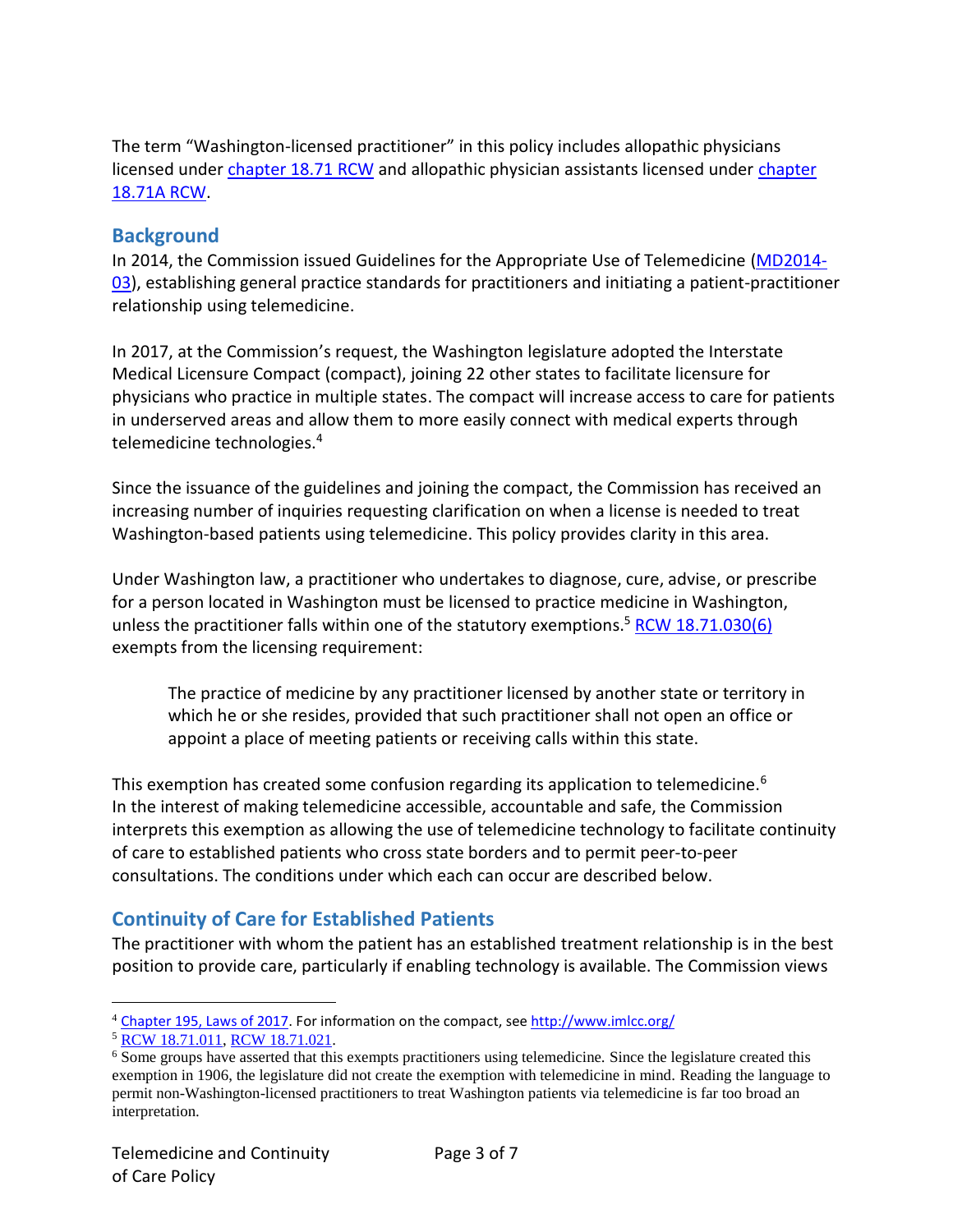The term "Washington-licensed practitioner" in this policy includes allopathic physicians licensed under [chapter](http://app.leg.wa.gov/rcw/default.aspx?cite=18.71) 18.71 RCW and allopathic physician assistants licensed under [chapter](http://app.leg.wa.gov/rcw/default.aspx?cite=18.71a) [18.71A](http://app.leg.wa.gov/rcw/default.aspx?cite=18.71a) RCW.

#### **Background**

In 2014, the Commission issued Guidelines for the Appropriate Use of Telemedicine [\(MD2014-](https://www.doh.wa.gov/Portals/1/Documents/3000/MD2014-03TelemedicineGuideline_approved10-3-14.pdf) [03\)](https://www.doh.wa.gov/Portals/1/Documents/3000/MD2014-03TelemedicineGuideline_approved10-3-14.pdf), establishing general practice standards for practitioners and initiating a patient-practitioner relationship using telemedicine.

In 2017, at the Commission's request, the Washington legislature adopted the Interstate Medical Licensure Compact (compact), joining 22 other states to facilitate licensure for physicians who practice in multiple states. The compact will increase access to care for patients in underserved areas and allow them to more easily connect with medical experts through telemedicine technologies.<sup>4</sup>

Since the issuance of the guidelines and joining the compact, the Commission has received an increasing number of inquiries requesting clarification on when a license is needed to treat Washington-based patients using telemedicine. This policy provides clarity in this area.

Under Washington law, a practitioner who undertakes to diagnose, cure, advise, or prescribe for a person located in Washington must be licensed to practice medicine in Washington, unless the practitioner falls within one of the statutory exemptions.<sup>5</sup> [RCW 18.71.030\(6\)](http://app.leg.wa.gov/rcw/default.aspx?cite=18.71.030) exempts from the licensing requirement:

The practice of medicine by any practitioner licensed by another state or territory in which he or she resides, provided that such practitioner shall not open an office or appoint a place of meeting patients or receiving calls within this state.

This exemption has created some confusion regarding its application to telemedicine.<sup>6</sup> In the interest of making telemedicine accessible, accountable and safe, the Commission interprets this exemption as allowing the use of telemedicine technology to facilitate continuity of care to established patients who cross state borders and to permit peer-to-peer consultations. The conditions under which each can occur are described below.

# **Continuity of Care for Established Patients**

The practitioner with whom the patient has an established treatment relationship is in the best position to provide care, particularly if enabling technology is available. The Commission views

 $\overline{a}$ 

<sup>&</sup>lt;sup>4</sup> [Chapter 195, Laws of 2017.](http://lawfilesext.leg.wa.gov/biennium/2017-18/Pdf/Bills/Session%20Laws/House/1337.SL.pdf) For information on the compact, see<http://www.imlcc.org/>

<sup>5</sup> [RCW 18.71.011,](http://app.leg.wa.gov/rcw/default.aspx?cite=18.71.011) [RCW 18.71.021.](http://app.leg.wa.gov/rcw/default.aspx?cite=18.71.021)

<sup>&</sup>lt;sup>6</sup> Some groups have asserted that this exempts practitioners using telemedicine. Since the legislature created this exemption in 1906, the legislature did not create the exemption with telemedicine in mind. Reading the language to permit non-Washington-licensed practitioners to treat Washington patients via telemedicine is far too broad an interpretation.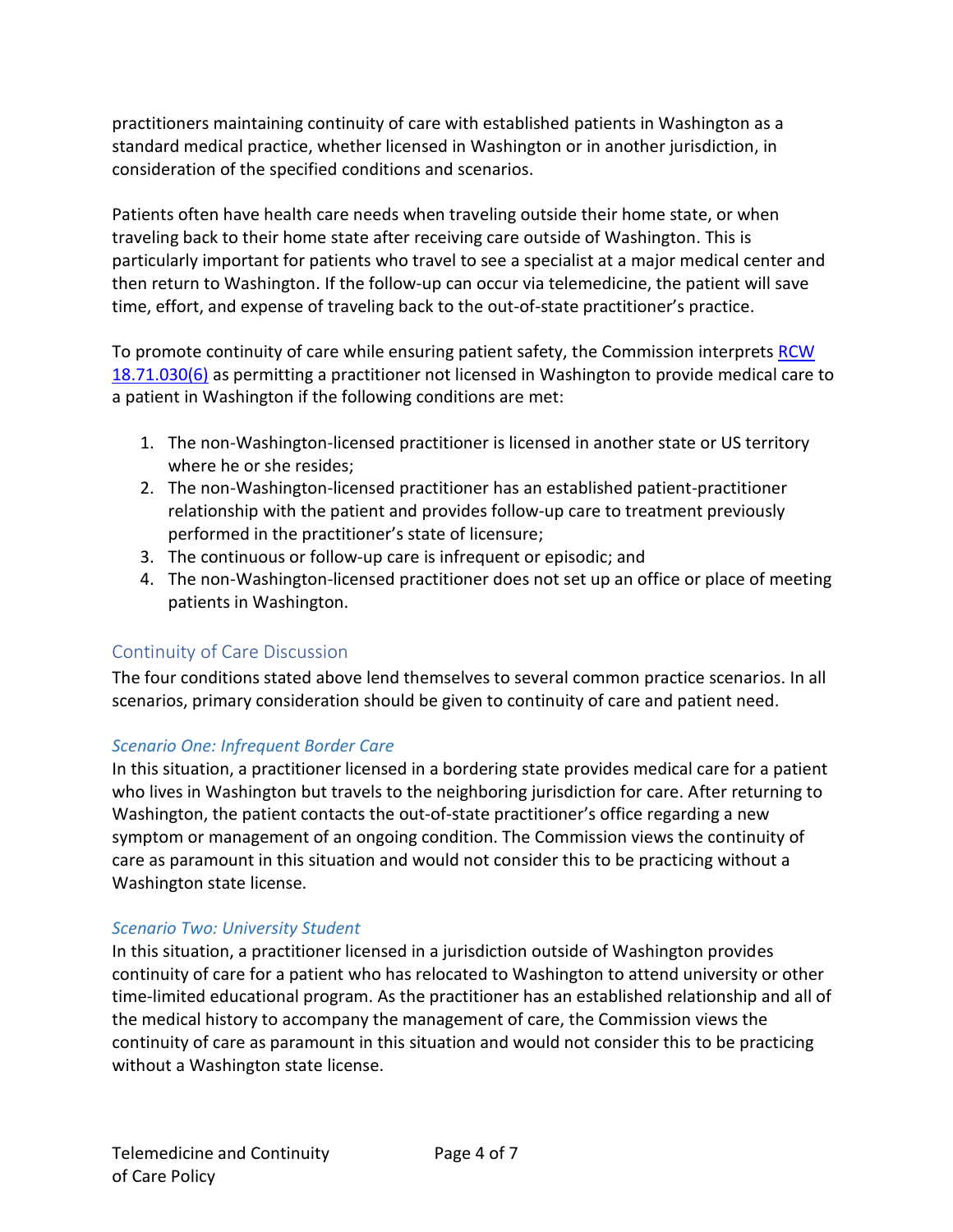practitioners maintaining continuity of care with established patients in Washington as a standard medical practice, whether licensed in Washington or in another jurisdiction, in consideration of the specified conditions and scenarios.

Patients often have health care needs when traveling outside their home state, or when traveling back to their home state after receiving care outside of Washington. This is particularly important for patients who travel to see a specialist at a major medical center and then return to Washington. If the follow-up can occur via telemedicine, the patient will save time, effort, and expense of traveling back to the out-of-state practitioner's practice.

To promote continuity of care while ensuring patient safety, the Commission interprets [RCW](http://app.leg.wa.gov/rcw/default.aspx?cite=18.71.030)  [18.71.030\(6\)](http://app.leg.wa.gov/rcw/default.aspx?cite=18.71.030) as permitting a practitioner not licensed in Washington to provide medical care to a patient in Washington if the following conditions are met:

- 1. The non-Washington-licensed practitioner is licensed in another state or US territory where he or she resides;
- 2. The non-Washington-licensed practitioner has an established patient-practitioner relationship with the patient and provides follow-up care to treatment previously performed in the practitioner's state of licensure;
- 3. The continuous or follow-up care is infrequent or episodic; and
- 4. The non-Washington-licensed practitioner does not set up an office or place of meeting patients in Washington.

#### Continuity of Care Discussion

The four conditions stated above lend themselves to several common practice scenarios. In all scenarios, primary consideration should be given to continuity of care and patient need.

#### *Scenario One: Infrequent Border Care*

In this situation, a practitioner licensed in a bordering state provides medical care for a patient who lives in Washington but travels to the neighboring jurisdiction for care. After returning to Washington, the patient contacts the out-of-state practitioner's office regarding a new symptom or management of an ongoing condition. The Commission views the continuity of care as paramount in this situation and would not consider this to be practicing without a Washington state license.

#### *Scenario Two: University Student*

In this situation, a practitioner licensed in a jurisdiction outside of Washington provides continuity of care for a patient who has relocated to Washington to attend university or other time-limited educational program. As the practitioner has an established relationship and all of the medical history to accompany the management of care, the Commission views the continuity of care as paramount in this situation and would not consider this to be practicing without a Washington state license.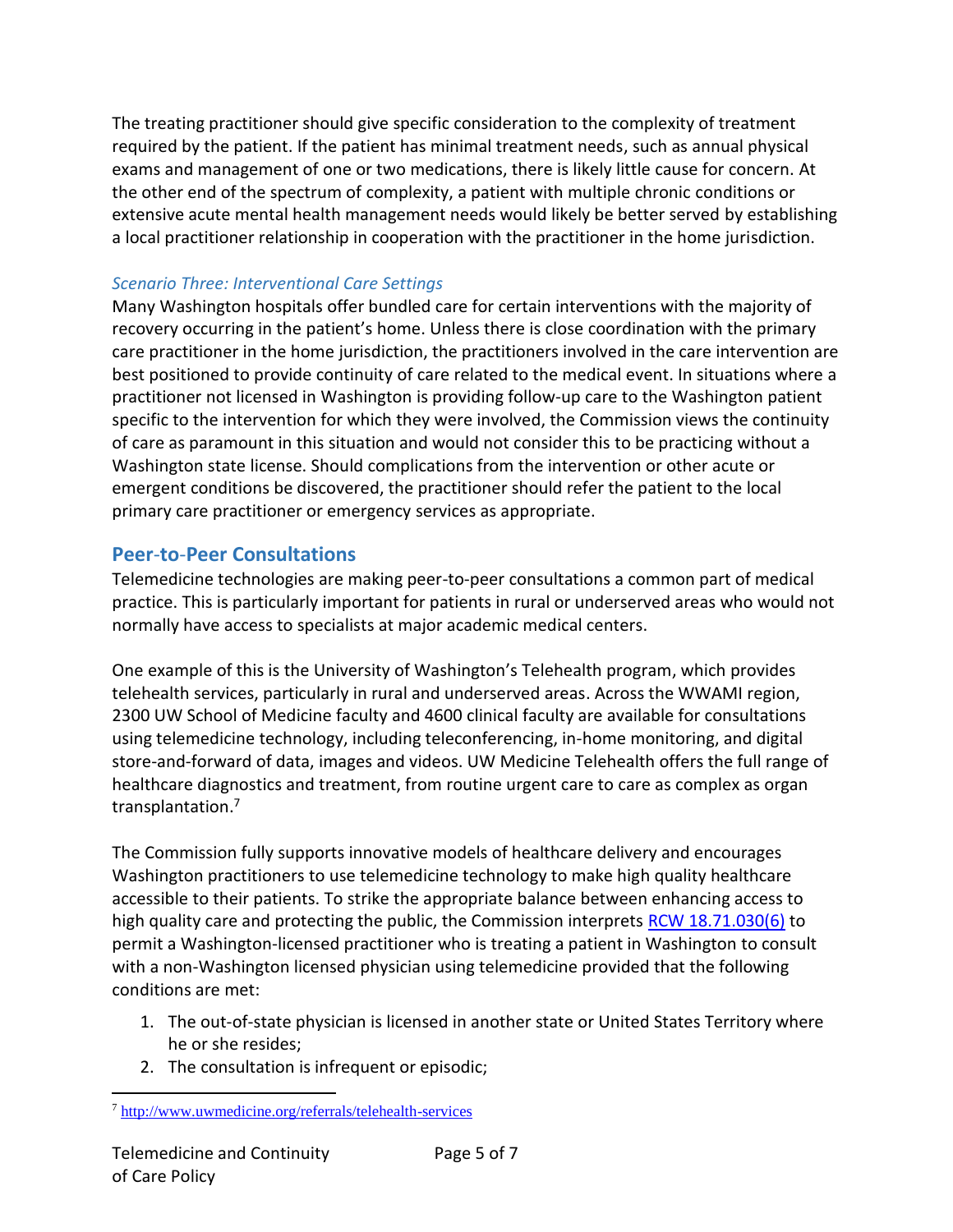The treating practitioner should give specific consideration to the complexity of treatment required by the patient. If the patient has minimal treatment needs, such as annual physical exams and management of one or two medications, there is likely little cause for concern. At the other end of the spectrum of complexity, a patient with multiple chronic conditions or extensive acute mental health management needs would likely be better served by establishing a local practitioner relationship in cooperation with the practitioner in the home jurisdiction.

### *Scenario Three: Interventional Care Settings*

Many Washington hospitals offer bundled care for certain interventions with the majority of recovery occurring in the patient's home. Unless there is close coordination with the primary care practitioner in the home jurisdiction, the practitioners involved in the care intervention are best positioned to provide continuity of care related to the medical event. In situations where a practitioner not licensed in Washington is providing follow-up care to the Washington patient specific to the intervention for which they were involved, the Commission views the continuity of care as paramount in this situation and would not consider this to be practicing without a Washington state license. Should complications from the intervention or other acute or emergent conditions be discovered, the practitioner should refer the patient to the local primary care practitioner or emergency services as appropriate.

# **Peer**-**to**-**Peer Consultations**

Telemedicine technologies are making peer-to-peer consultations a common part of medical practice. This is particularly important for patients in rural or underserved areas who would not normally have access to specialists at major academic medical centers.

One example of this is the University of Washington's Telehealth program, which provides telehealth services, particularly in rural and underserved areas. Across the WWAMI region, 2300 UW School of Medicine faculty and 4600 clinical faculty are available for consultations using telemedicine technology, including teleconferencing, in-home monitoring, and digital store-and-forward of data, images and videos. UW Medicine Telehealth offers the full range of healthcare diagnostics and treatment, from routine urgent care to care as complex as organ transplantation.<sup>7</sup>

The Commission fully supports innovative models of healthcare delivery and encourages Washington practitioners to use telemedicine technology to make high quality healthcare accessible to their patients. To strike the appropriate balance between enhancing access to high quality care and protecting the public, the Commission interprets [RCW 18.71.030\(6\)](http://app.leg.wa.gov/rcw/default.aspx?cite=18.71.030) to permit a Washington-licensed practitioner who is treating a patient in Washington to consult with a non-Washington licensed physician using telemedicine provided that the following conditions are met:

- 1. The out-of-state physician is licensed in another state or United States Territory where he or she resides;
- 2. The consultation is infrequent or episodic;

 $\overline{a}$ <sup>7</sup> <http://www.uwmedicine.org/referrals/telehealth-services>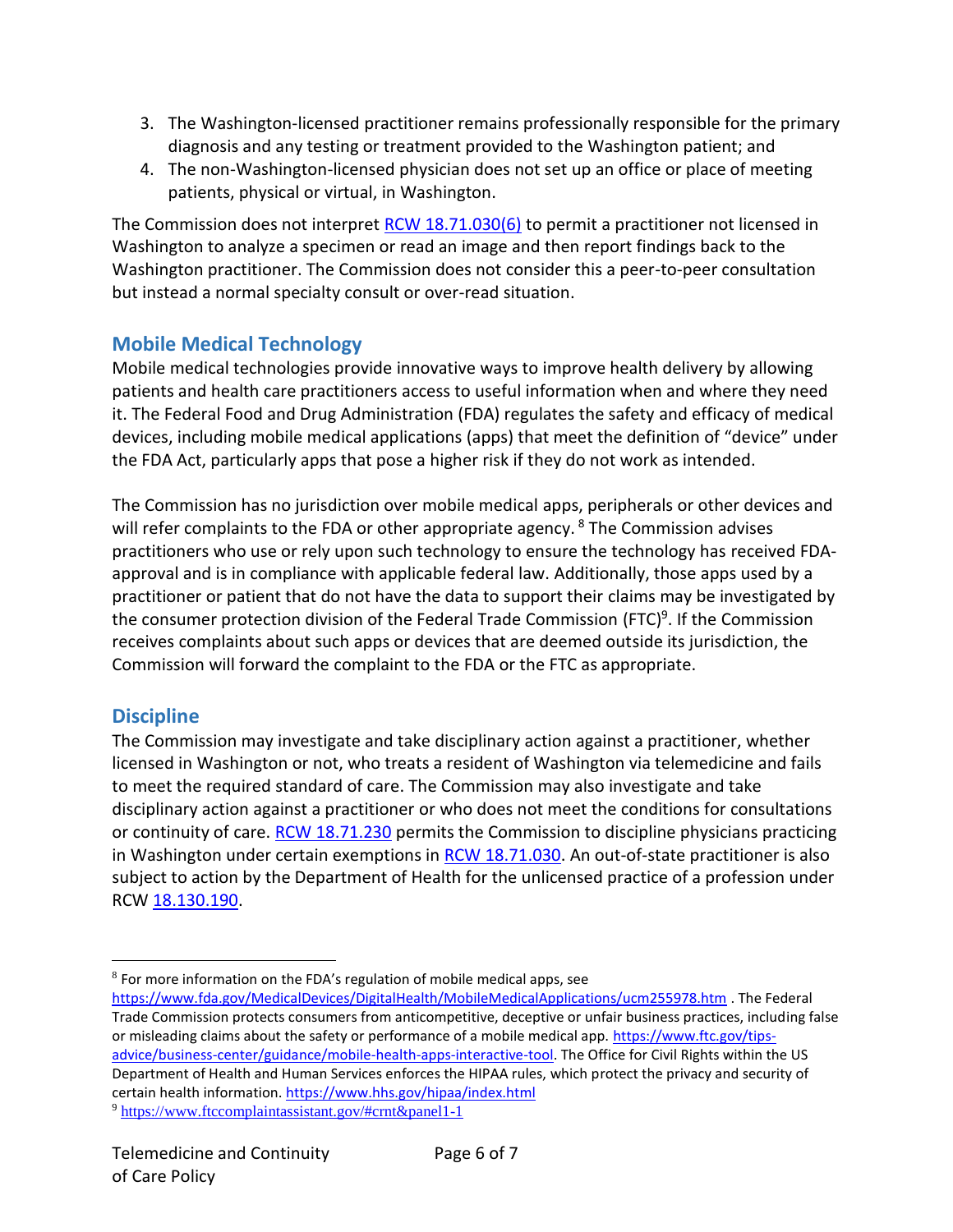- 3. The Washington-licensed practitioner remains professionally responsible for the primary diagnosis and any testing or treatment provided to the Washington patient; and
- 4. The non-Washington-licensed physician does not set up an office or place of meeting patients, physical or virtual, in Washington.

The Commission does not interpret [RCW 18.71.030\(6\)](http://app.leg.wa.gov/rcw/default.aspx?cite=18.71.030) to permit a practitioner not licensed in Washington to analyze a specimen or read an image and then report findings back to the Washington practitioner. The Commission does not consider this a peer-to-peer consultation but instead a normal specialty consult or over-read situation.

# **Mobile Medical Technology**

Mobile medical technologies provide innovative ways to improve health delivery by allowing patients and health care practitioners access to useful information when and where they need it. The Federal Food and Drug Administration (FDA) regulates the safety and efficacy of medical devices, including mobile medical applications (apps) that meet the definition of "device" under the FDA Act, particularly apps that pose a higher risk if they do not work as intended.

The Commission has no jurisdiction over mobile medical apps, peripherals or other devices and will refer complaints to the FDA or other appropriate agency.  $8$  The Commission advises practitioners who use or rely upon such technology to ensure the technology has received FDAapproval and is in compliance with applicable federal law. Additionally, those apps used by a practitioner or patient that do not have the data to support their claims may be investigated by the consumer protection division of the Federal Trade Commission (FTC)<sup>9</sup>. If the Commission receives complaints about such apps or devices that are deemed outside its jurisdiction, the Commission will forward the complaint to the FDA or the FTC as appropriate.

# **Discipline**

 $\overline{a}$ 

The Commission may investigate and take disciplinary action against a practitioner, whether licensed in Washington or not, who treats a resident of Washington via telemedicine and fails to meet the required standard of care. The Commission may also investigate and take disciplinary action against a practitioner or who does not meet the conditions for consultations or continuity of care. [RCW 18.71.230](http://app.leg.wa.gov/rcw/default.aspx?cite=18.71.230) permits the Commission to discipline physicians practicing in Washington under certain exemptions in [RCW 18.71.030.](http://app.leg.wa.gov/rcw/default.aspx?cite=18.71.030) An out-of-state practitioner is also subject to action by the Department of Health for the unlicensed practice of a profession under RCW [18.130.190.](http://app.leg.wa.gov/RCW/default.aspx?cite=18.130.190)

<sup>9</sup> <https://www.ftccomplaintassistant.gov/#crnt&panel1-1>

 $8$  For more information on the FDA's regulation of mobile medical apps, see

<https://www.fda.gov/MedicalDevices/DigitalHealth/MobileMedicalApplications/ucm255978.htm> . The Federal Trade Commission protects consumers from anticompetitive, deceptive or unfair business practices, including false or misleading claims about the safety or performance of a mobile medical app. [https://www.ftc.gov/tips](https://www.ftc.gov/tips-advice/business-center/guidance/mobile-health-apps-interactive-tool)[advice/business-center/guidance/mobile-health-apps-interactive-tool.](https://www.ftc.gov/tips-advice/business-center/guidance/mobile-health-apps-interactive-tool) The Office for Civil Rights within the US Department of Health and Human Services enforces the HIPAA rules, which protect the privacy and security of certain health information. <https://www.hhs.gov/hipaa/index.html>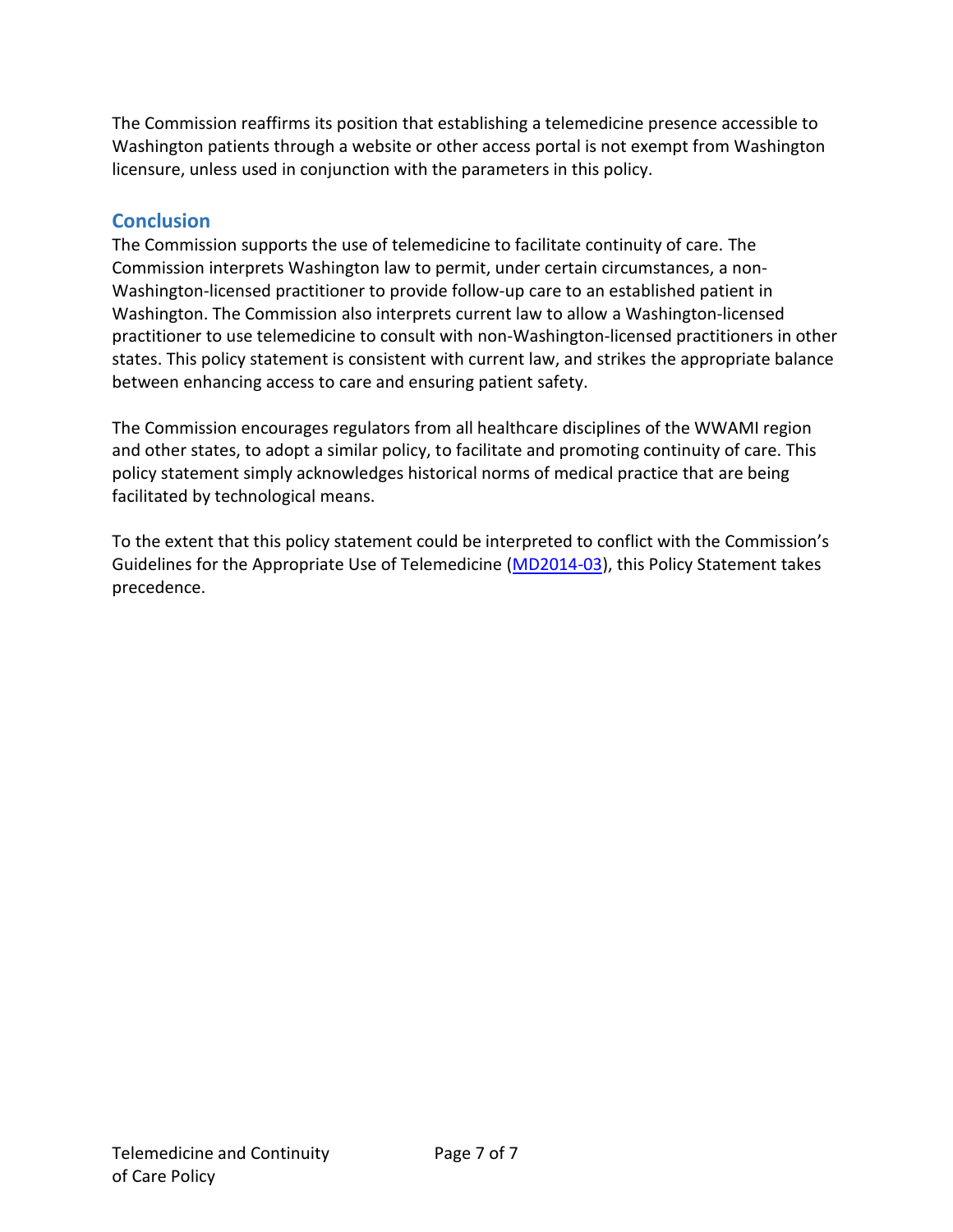The Commission reaffirms its position that establishing a telemedicine presence accessible to Washington patients through a website or other access portal is not exempt from Washington licensure, unless used in conjunction with the parameters in this policy.

# **Conclusion**

The Commission supports the use of telemedicine to facilitate continuity of care. The Commission interprets Washington law to permit, under certain circumstances, a non-Washington-licensed practitioner to provide follow-up care to an established patient in Washington. The Commission also interprets current law to allow a Washington-licensed practitioner to use telemedicine to consult with non-Washington-licensed practitioners in other states. This policy statement is consistent with current law, and strikes the appropriate balance between enhancing access to care and ensuring patient safety.

The Commission encourages regulators from all healthcare disciplines of the WWAMI region and other states, to adopt a similar policy, to facilitate and promoting continuity of care. This policy statement simply acknowledges historical norms of medical practice that are being facilitated by technological means.

To the extent that this policy statement could be interpreted to conflict with the Commission's Guidelines for the Appropriate Use of Telemedicine [\(MD2014-03\)](https://www.doh.wa.gov/Portals/1/Documents/3000/MD2014-03TelemedicineGuideline_approved10-3-14.pdf), this Policy Statement takes precedence.